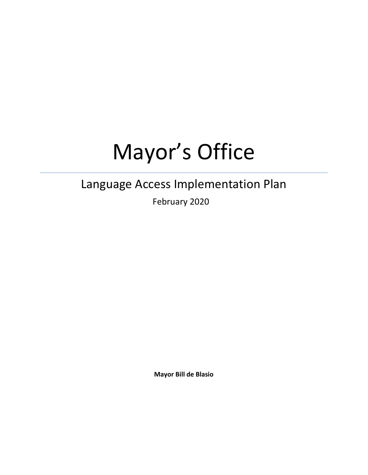# Mayor's Office

# Language Access Implementation Plan

February 2020

**Mayor Bill de Blasio**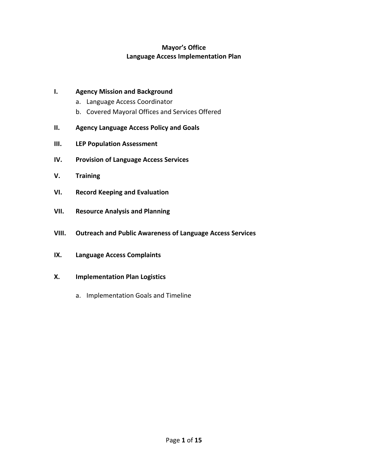# **Mayor's Office Language Access Implementation Plan**

#### **I. Agency Mission and Background**

- a. Language Access Coordinator
- b. Covered Mayoral Offices and Services Offered
- **II. Agency Language Access Policy and Goals**
- **III. LEP Population Assessment**
- **IV. Provision of Language Access Services**
- **V. Training**
- **VI. Record Keeping and Evaluation**
- **VII. Resource Analysis and Planning**
- **VIII. Outreach and Public Awareness of Language Access Services**
- **IX. Language Access Complaints**
- **X. Implementation Plan Logistics**
	- a. Implementation Goals and Timeline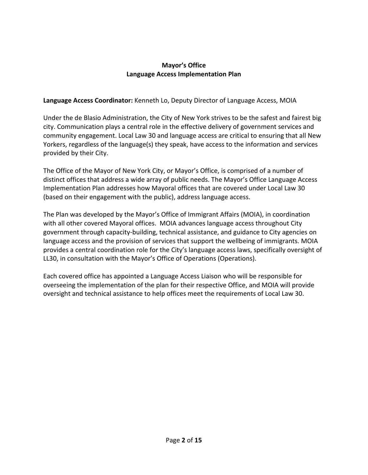# **Mayor's Office Language Access Implementation Plan**

#### **Language Access Coordinator:** Kenneth Lo, Deputy Director of Language Access, MOIA

Under the de Blasio Administration, the City of New York strives to be the safest and fairest big city. Communication plays a central role in the effective delivery of government services and community engagement. Local Law 30 and language access are critical to ensuring that all New Yorkers, regardless of the language(s) they speak, have access to the information and services provided by their City.

The Office of the Mayor of New York City, or Mayor's Office, is comprised of a number of distinct offices that address a wide array of public needs. The Mayor's Office Language Access Implementation Plan addresses how Mayoral offices that are covered under Local Law 30 (based on their engagement with the public), address language access.

The Plan was developed by the Mayor's Office of Immigrant Affairs (MOIA), in coordination with all other covered Mayoral offices. MOIA advances language access throughout City government through capacity-building, technical assistance, and guidance to City agencies on language access and the provision of services that support the wellbeing of immigrants. MOIA provides a central coordination role for the City's language access laws, specifically oversight of LL30, in consultation with the Mayor's Office of Operations (Operations).

Each covered office has appointed a Language Access Liaison who will be responsible for overseeing the implementation of the plan for their respective Office, and MOIA will provide oversight and technical assistance to help offices meet the requirements of Local Law 30.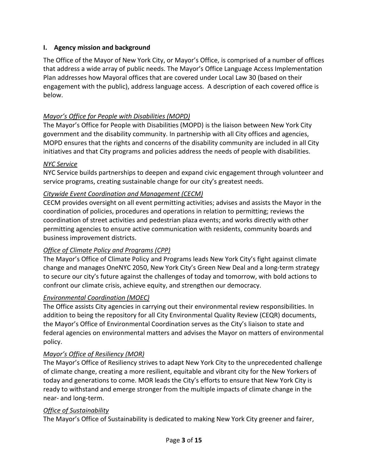# **I. Agency mission and background**

The Office of the Mayor of New York City, or Mayor's Office, is comprised of a number of offices that address a wide array of public needs. The Mayor's Office Language Access Implementation Plan addresses how Mayoral offices that are covered under Local Law 30 (based on their engagement with the public), address language access. A description of each covered office is below.

# *Mayor's Office for People with Disabilities (MOPD)*

The Mayor's Office for People with Disabilities (MOPD) is the liaison between New York City government and the disability community. In partnership with all City offices and agencies, MOPD ensures that the rights and concerns of the disability community are included in all City initiatives and that City programs and policies address the needs of people with disabilities.

#### *NYC Service*

NYC Service builds partnerships to deepen and expand civic engagement through volunteer and service programs, creating sustainable change for our city's greatest needs.

# *Citywide Event Coordination and Management (CECM)*

CECM provides oversight on all event permitting activities; advises and assists the Mayor in the coordination of policies, procedures and operations in relation to permitting; reviews the coordination of street activities and pedestrian plaza events; and works directly with other permitting agencies to ensure active communication with residents, community boards and business improvement districts.

# *Office of Climate Policy and Programs (CPP)*

The Mayor's Office of Climate Policy and Programs leads New York City's fight against climate change and manages OneNYC 2050, New York City's Green New Deal and a long-term strategy to secure our city's future against the challenges of today and tomorrow, with bold actions to confront our climate crisis, achieve equity, and strengthen our democracy.

#### *Environmental Coordination (MOEC)*

The Office assists City agencies in carrying out their environmental review responsibilities. In addition to being the repository for all City Environmental Quality Review (CEQR) documents, the Mayor's Office of Environmental Coordination serves as the City's liaison to state and federal agencies on environmental matters and advises the Mayor on matters of environmental policy.

# *Mayor's Office of Resiliency (MOR)*

The Mayor's Office of Resiliency strives to adapt New York City to the unprecedented challenge of climate change, creating a more resilient, equitable and vibrant city for the New Yorkers of today and generations to come. MOR leads the City's efforts to ensure that New York City is ready to withstand and emerge stronger from the multiple impacts of climate change in the near- and long-term.

#### *Office of Sustainability*

The Mayor's Office of Sustainability is dedicated to making New York City greener and fairer,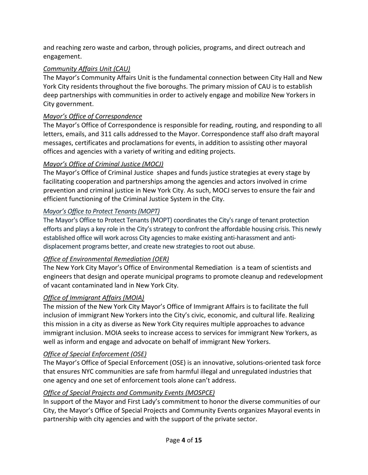and reaching zero waste and carbon, through policies, programs, and direct outreach and engagement.

# *Community Affairs Unit (CAU)*

The Mayor's Community Affairs Unit is the fundamental connection between City Hall and New York City residents throughout the five boroughs. The primary mission of CAU is to establish deep partnerships with communities in order to actively engage and mobilize New Yorkers in City government.

# *Mayor's Office of Correspondence*

The Mayor's Office of Correspondence is responsible for reading, routing, and responding to all letters, emails, and 311 calls addressed to the Mayor. Correspondence staff also draft mayoral messages, certificates and proclamations for events, in addition to assisting other mayoral offices and agencies with a variety of writing and editing projects.

# *Mayor's Office of Criminal Justice (MOCJ)*

The Mayor's Office of Criminal Justice shapes and funds justice strategies at every stage by facilitating cooperation and partnerships among the agencies and actors involved in crime prevention and criminal justice in New York City. As such, MOCJ serves to ensure the fair and efficient functioning of the Criminal Justice System in the City.

# *Mayor's Office to Protect Tenants (MOPT)*

The Mayor's Office to Protect Tenants (MOPT) coordinates the City's range of tenant protection efforts and plays a key role in the City's strategy to confront the affordable housing crisis. This newly established office will work across City agencies to make existing anti-harassment and antidisplacement programs better, and create new strategies to root out abuse.

# *Office of Environmental Remediation (OER)*

The New York City Mayor's Office of Environmental Remediation is a team of scientists and engineers that design and operate municipal programs to promote cleanup and redevelopment of vacant contaminated land in New York City.

# *Office of Immigrant Affairs (MOIA)*

The mission of the New York City Mayor's Office of Immigrant Affairs is to facilitate the full inclusion of immigrant New Yorkers into the City's civic, economic, and cultural life. Realizing this mission in a city as diverse as New York City requires multiple approaches to advance immigrant inclusion. MOIA seeks to increase access to services for immigrant New Yorkers, as well as inform and engage and advocate on behalf of immigrant New Yorkers.

# *Office of Special Enforcement (OSE)*

The Mayor's Office of Special Enforcement (OSE) is an innovative, solutions-oriented task force that ensures NYC communities are safe from harmful illegal and unregulated industries that one agency and one set of enforcement tools alone can't address.

# *Office of Special Projects and Community Events (MOSPCE)*

In support of the Mayor and First Lady's commitment to honor the diverse communities of our City, the Mayor's Office of Special Projects and Community Events organizes Mayoral events in partnership with city agencies and with the support of the private sector.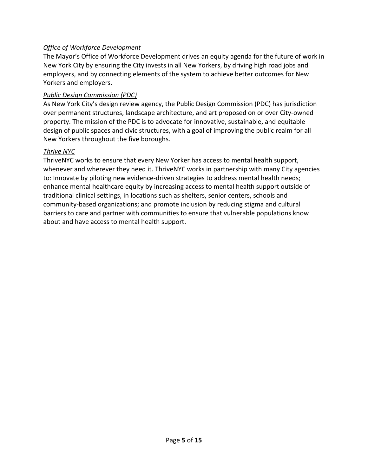# *Office of Workforce Development*

The Mayor's Office of Workforce Development drives an equity agenda for the future of work in New York City by ensuring the City invests in all New Yorkers, by driving high road jobs and employers, and by connecting elements of the system to achieve better outcomes for New Yorkers and employers.

#### *Public Design Commission (PDC)*

As New York City's design review agency, the Public Design Commission (PDC) has jurisdiction over permanent structures, landscape architecture, and art proposed on or over City-owned property. The mission of the PDC is to advocate for innovative, sustainable, and equitable design of public spaces and civic structures, with a goal of improving the public realm for all New Yorkers throughout the five boroughs.

#### *Thrive NYC*

ThriveNYC works to ensure that every New Yorker has access to mental health support, whenever and wherever they need it. ThriveNYC works in partnership with many City agencies to: Innovate by piloting new evidence-driven strategies to address mental health needs; enhance mental healthcare equity by increasing access to mental health support outside of traditional clinical settings, in locations such as shelters, senior centers, schools and community-based organizations; and promote inclusion by reducing stigma and cultural barriers to care and partner with communities to ensure that vulnerable populations know about and have access to mental health support.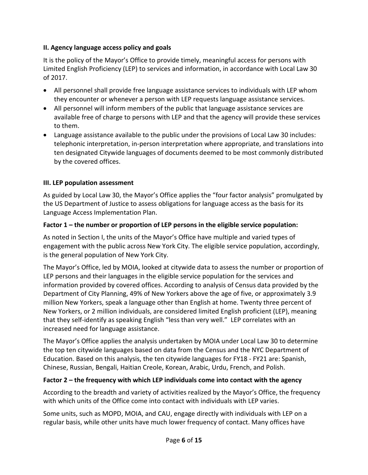# **II. Agency language access policy and goals**

It is the policy of the Mayor's Office to provide timely, meaningful access for persons with Limited English Proficiency (LEP) to services and information, in accordance with Local Law 30 of 2017.

- All personnel shall provide free language assistance services to individuals with LEP whom they encounter or whenever a person with LEP requests language assistance services.
- All personnel will inform members of the public that language assistance services are available free of charge to persons with LEP and that the agency will provide these services to them.
- Language assistance available to the public under the provisions of Local Law 30 includes: telephonic interpretation, in-person interpretation where appropriate, and translations into ten designated Citywide languages of documents deemed to be most commonly distributed by the covered offices.

# **III. LEP population assessment**

As guided by Local Law 30, the Mayor's Office applies the "four factor analysis" promulgated by the US Department of Justice to assess obligations for language access as the basis for its Language Access Implementation Plan.

# **Factor 1 – the number or proportion of LEP persons in the eligible service population:**

As noted in Section I, the units of the Mayor's Office have multiple and varied types of engagement with the public across New York City. The eligible service population, accordingly, is the general population of New York City.

The Mayor's Office, led by MOIA, looked at citywide data to assess the number or proportion of LEP persons and their languages in the eligible service population for the services and information provided by covered offices. According to analysis of Census data provided by the Department of City Planning, 49% of New Yorkers above the age of five, or approximately 3.9 million New Yorkers, speak a language other than English at home. Twenty three percent of New Yorkers, or 2 million individuals, are considered limited English proficient (LEP), meaning that they self-identify as speaking English "less than very well." LEP correlates with an increased need for language assistance.

The Mayor's Office applies the analysis undertaken by MOIA under Local Law 30 to determine the top ten citywide languages based on data from the Census and the NYC Department of Education. Based on this analysis, the ten citywide languages for FY18 - FY21 are: Spanish, Chinese, Russian, Bengali, Haitian Creole, Korean, Arabic, Urdu, French, and Polish.

# **Factor 2 – the frequency with which LEP individuals come into contact with the agency**

According to the breadth and variety of activities realized by the Mayor's Office, the frequency with which units of the Office come into contact with individuals with LEP varies.

Some units, such as MOPD, MOIA, and CAU, engage directly with individuals with LEP on a regular basis, while other units have much lower frequency of contact. Many offices have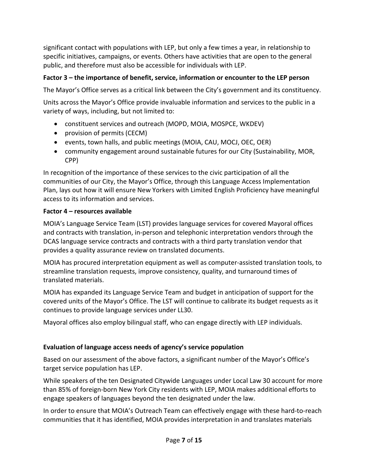significant contact with populations with LEP, but only a few times a year, in relationship to specific initiatives, campaigns, or events. Others have activities that are open to the general public, and therefore must also be accessible for individuals with LEP.

# **Factor 3 – the importance of benefit, service, information or encounter to the LEP person**

The Mayor's Office serves as a critical link between the City's government and its constituency.

Units across the Mayor's Office provide invaluable information and services to the public in a variety of ways, including, but not limited to:

- constituent services and outreach (MOPD, MOIA, MOSPCE, WKDEV)
- provision of permits (CECM)
- events, town halls, and public meetings (MOIA, CAU, MOCJ, OEC, OER)
- community engagement around sustainable futures for our City (Sustainability, MOR, CPP)

In recognition of the importance of these services to the civic participation of all the communities of our City, the Mayor's Office, through this Language Access Implementation Plan, lays out how it will ensure New Yorkers with Limited English Proficiency have meaningful access to its information and services.

# **Factor 4 – resources available**

MOIA's Language Service Team (LST) provides language services for covered Mayoral offices and contracts with translation, in-person and telephonic interpretation vendors through the DCAS language service contracts and contracts with a third party translation vendor that provides a quality assurance review on translated documents.

MOIA has procured interpretation equipment as well as computer-assisted translation tools, to streamline translation requests, improve consistency, quality, and turnaround times of translated materials.

MOIA has expanded its Language Service Team and budget in anticipation of support for the covered units of the Mayor's Office. The LST will continue to calibrate its budget requests as it continues to provide language services under LL30.

Mayoral offices also employ bilingual staff, who can engage directly with LEP individuals.

# **Evaluation of language access needs of agency's service population**

Based on our assessment of the above factors, a significant number of the Mayor's Office's target service population has LEP.

While speakers of the ten Designated Citywide Languages under Local Law 30 account for more than 85% of foreign-born New York City residents with LEP, MOIA makes additional efforts to engage speakers of languages beyond the ten designated under the law.

In order to ensure that MOIA's Outreach Team can effectively engage with these hard-to-reach communities that it has identified, MOIA provides interpretation in and translates materials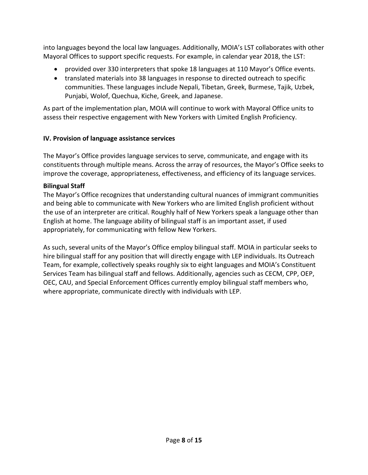into languages beyond the local law languages. Additionally, MOIA's LST collaborates with other Mayoral Offices to support specific requests. For example, in calendar year 2018, the LST:

- provided over 330 interpreters that spoke 18 languages at 110 Mayor's Office events.
- translated materials into 38 languages in response to directed outreach to specific communities. These languages include Nepali, Tibetan, Greek, Burmese, Tajik, Uzbek, Punjabi, Wolof, Quechua, Kiche, Greek, and Japanese.

As part of the implementation plan, MOIA will continue to work with Mayoral Office units to assess their respective engagement with New Yorkers with Limited English Proficiency.

# **IV. Provision of language assistance services**

The Mayor's Office provides language services to serve, communicate, and engage with its constituents through multiple means. Across the array of resources, the Mayor's Office seeks to improve the coverage, appropriateness, effectiveness, and efficiency of its language services.

# **Bilingual Staff**

The Mayor's Office recognizes that understanding cultural nuances of immigrant communities and being able to communicate with New Yorkers who are limited English proficient without the use of an interpreter are critical. Roughly half of New Yorkers speak a language other than English at home. The language ability of bilingual staff is an important asset, if used appropriately, for communicating with fellow New Yorkers.

As such, several units of the Mayor's Office employ bilingual staff. MOIA in particular seeks to hire bilingual staff for any position that will directly engage with LEP individuals. Its Outreach Team, for example, collectively speaks roughly six to eight languages and MOIA's Constituent Services Team has bilingual staff and fellows. Additionally, agencies such as CECM, CPP, OEP, OEC, CAU, and Special Enforcement Offices currently employ bilingual staff members who, where appropriate, communicate directly with individuals with LEP.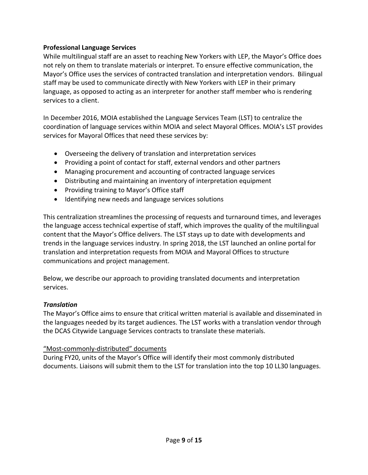#### **Professional Language Services**

While multilingual staff are an asset to reaching New Yorkers with LEP, the Mayor's Office does not rely on them to translate materials or interpret. To ensure effective communication, the Mayor's Office uses the services of contracted translation and interpretation vendors. Bilingual staff may be used to communicate directly with New Yorkers with LEP in their primary language, as opposed to acting as an interpreter for another staff member who is rendering services to a client.

In December 2016, MOIA established the Language Services Team (LST) to centralize the coordination of language services within MOIA and select Mayoral Offices. MOIA's LST provides services for Mayoral Offices that need these services by:

- Overseeing the delivery of translation and interpretation services
- Providing a point of contact for staff, external vendors and other partners
- Managing procurement and accounting of contracted language services
- Distributing and maintaining an inventory of interpretation equipment
- Providing training to Mayor's Office staff
- Identifying new needs and language services solutions

This centralization streamlines the processing of requests and turnaround times, and leverages the language access technical expertise of staff, which improves the quality of the multilingual content that the Mayor's Office delivers. The LST stays up to date with developments and trends in the language services industry. In spring 2018, the LST launched an online portal for translation and interpretation requests from MOIA and Mayoral Offices to structure communications and project management.

Below, we describe our approach to providing translated documents and interpretation services.

#### *Translation*

The Mayor's Office aims to ensure that critical written material is available and disseminated in the languages needed by its target audiences. The LST works with a translation vendor through the DCAS Citywide Language Services contracts to translate these materials.

#### "Most-commonly-distributed" documents

During FY20, units of the Mayor's Office will identify their most commonly distributed documents. Liaisons will submit them to the LST for translation into the top 10 LL30 languages.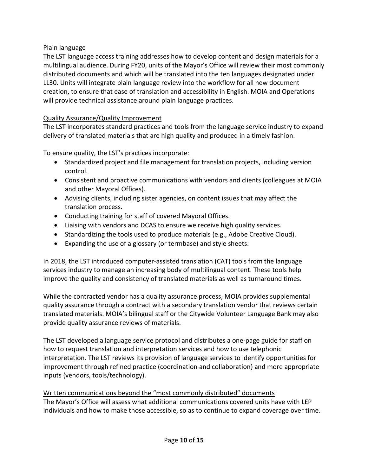# Plain language

The LST language access training addresses how to develop content and design materials for a multilingual audience. During FY20, units of the Mayor's Office will review their most commonly distributed documents and which will be translated into the ten languages designated under LL30. Units will integrate plain language review into the workflow for all new document creation, to ensure that ease of translation and accessibility in English. MOIA and Operations will provide technical assistance around plain language practices.

#### Quality Assurance/Quality Improvement

The LST incorporates standard practices and tools from the language service industry to expand delivery of translated materials that are high quality and produced in a timely fashion.

To ensure quality, the LST's practices incorporate:

- Standardized project and file management for translation projects, including version control.
- Consistent and proactive communications with vendors and clients (colleagues at MOIA and other Mayoral Offices).
- Advising clients, including sister agencies, on content issues that may affect the translation process.
- Conducting training for staff of covered Mayoral Offices.
- Liaising with vendors and DCAS to ensure we receive high quality services.
- Standardizing the tools used to produce materials (e.g., Adobe Creative Cloud).
- Expanding the use of a glossary (or termbase) and style sheets.

In 2018, the LST introduced computer-assisted translation (CAT) tools from the language services industry to manage an increasing body of multilingual content. These tools help improve the quality and consistency of translated materials as well as turnaround times.

While the contracted vendor has a quality assurance process, MOIA provides supplemental quality assurance through a contract with a secondary translation vendor that reviews certain translated materials. MOIA's bilingual staff or the Citywide Volunteer Language Bank may also provide quality assurance reviews of materials.

The LST developed a language service protocol and distributes a one-page guide for staff on how to request translation and interpretation services and how to use telephonic interpretation. The LST reviews its provision of language services to identify opportunities for improvement through refined practice (coordination and collaboration) and more appropriate inputs (vendors, tools/technology).

Written communications beyond the "most commonly distributed" documents The Mayor's Office will assess what additional communications covered units have with LEP individuals and how to make those accessible, so as to continue to expand coverage over time.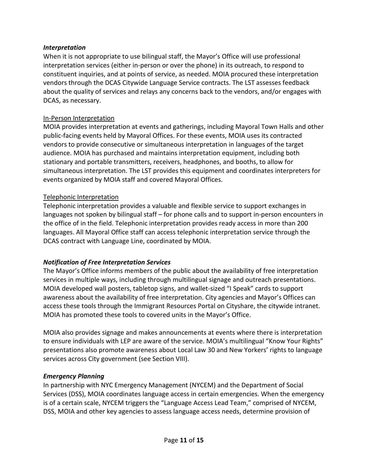#### *Interpretation*

When it is not appropriate to use bilingual staff, the Mayor's Office will use professional interpretation services (either in-person or over the phone) in its outreach, to respond to constituent inquiries, and at points of service, as needed. MOIA procured these interpretation vendors through the DCAS Citywide Language Service contracts. The LST assesses feedback about the quality of services and relays any concerns back to the vendors, and/or engages with DCAS, as necessary.

# In-Person Interpretation

MOIA provides interpretation at events and gatherings, including Mayoral Town Halls and other public-facing events held by Mayoral Offices. For these events, MOIA uses its contracted vendors to provide consecutive or simultaneous interpretation in languages of the target audience. MOIA has purchased and maintains interpretation equipment, including both stationary and portable transmitters, receivers, headphones, and booths, to allow for simultaneous interpretation. The LST provides this equipment and coordinates interpreters for events organized by MOIA staff and covered Mayoral Offices.

# Telephonic Interpretation

Telephonic interpretation provides a valuable and flexible service to support exchanges in languages not spoken by bilingual staff – for phone calls and to support in-person encounters in the office of in the field. Telephonic interpretation provides ready access in more than 200 languages. All Mayoral Office staff can access telephonic interpretation service through the DCAS contract with Language Line, coordinated by MOIA.

# *Notification of Free Interpretation Services*

The Mayor's Office informs members of the public about the availability of free interpretation services in multiple ways, including through multilingual signage and outreach presentations. MOIA developed wall posters, tabletop signs, and wallet-sized "I Speak" cards to support awareness about the availability of free interpretation. City agencies and Mayor's Offices can access these tools through the Immigrant Resources Portal on Cityshare, the citywide intranet. MOIA has promoted these tools to covered units in the Mayor's Office.

MOIA also provides signage and makes announcements at events where there is interpretation to ensure individuals with LEP are aware of the service. MOIA's multilingual "Know Your Rights" presentations also promote awareness about Local Law 30 and New Yorkers' rights to language services across City government (see Section VIII).

# *Emergency Planning*

In partnership with NYC Emergency Management (NYCEM) and the Department of Social Services (DSS), MOIA coordinates language access in certain emergencies. When the emergency is of a certain scale, NYCEM triggers the "Language Access Lead Team," comprised of NYCEM, DSS, MOIA and other key agencies to assess language access needs, determine provision of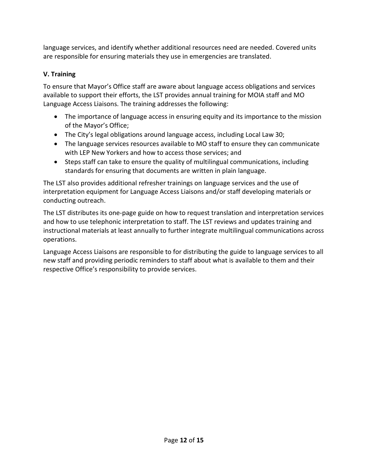language services, and identify whether additional resources need are needed. Covered units are responsible for ensuring materials they use in emergencies are translated.

# **V. Training**

To ensure that Mayor's Office staff are aware about language access obligations and services available to support their efforts, the LST provides annual training for MOIA staff and MO Language Access Liaisons. The training addresses the following:

- The importance of language access in ensuring equity and its importance to the mission of the Mayor's Office;
- The City's legal obligations around language access, including Local Law 30;
- The language services resources available to MO staff to ensure they can communicate with LEP New Yorkers and how to access those services; and
- Steps staff can take to ensure the quality of multilingual communications, including standards for ensuring that documents are written in plain language.

The LST also provides additional refresher trainings on language services and the use of interpretation equipment for Language Access Liaisons and/or staff developing materials or conducting outreach.

The LST distributes its one-page guide on how to request translation and interpretation services and how to use telephonic interpretation to staff. The LST reviews and updates training and instructional materials at least annually to further integrate multilingual communications across operations.

Language Access Liaisons are responsible to for distributing the guide to language services to all new staff and providing periodic reminders to staff about what is available to them and their respective Office's responsibility to provide services.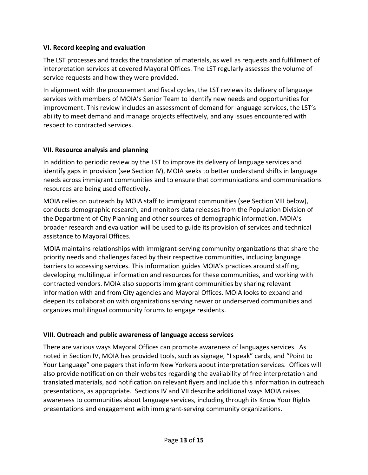#### **VI. Record keeping and evaluation**

The LST processes and tracks the translation of materials, as well as requests and fulfillment of interpretation services at covered Mayoral Offices. The LST regularly assesses the volume of service requests and how they were provided.

In alignment with the procurement and fiscal cycles, the LST reviews its delivery of language services with members of MOIA's Senior Team to identify new needs and opportunities for improvement. This review includes an assessment of demand for language services, the LST's ability to meet demand and manage projects effectively, and any issues encountered with respect to contracted services.

# **VII. Resource analysis and planning**

In addition to periodic review by the LST to improve its delivery of language services and identify gaps in provision (see Section IV), MOIA seeks to better understand shifts in language needs across immigrant communities and to ensure that communications and communications resources are being used effectively.

MOIA relies on outreach by MOIA staff to immigrant communities (see Section VIII below), conducts demographic research, and monitors data releases from the Population Division of the Department of City Planning and other sources of demographic information. MOIA's broader research and evaluation will be used to guide its provision of services and technical assistance to Mayoral Offices.

MOIA maintains relationships with immigrant-serving community organizations that share the priority needs and challenges faced by their respective communities, including language barriers to accessing services. This information guides MOIA's practices around staffing, developing multilingual information and resources for these communities, and working with contracted vendors. MOIA also supports immigrant communities by sharing relevant information with and from City agencies and Mayoral Offices. MOIA looks to expand and deepen its collaboration with organizations serving newer or underserved communities and organizes multilingual community forums to engage residents.

# **VIII. Outreach and public awareness of language access services**

There are various ways Mayoral Offices can promote awareness of languages services. As noted in Section IV, MOIA has provided tools, such as signage, "I speak" cards, and "Point to Your Language" one pagers that inform New Yorkers about interpretation services. Offices will also provide notification on their websites regarding the availability of free interpretation and translated materials, add notification on relevant flyers and include this information in outreach presentations, as appropriate. Sections IV and VII describe additional ways MOIA raises awareness to communities about language services, including through its Know Your Rights presentations and engagement with immigrant-serving community organizations.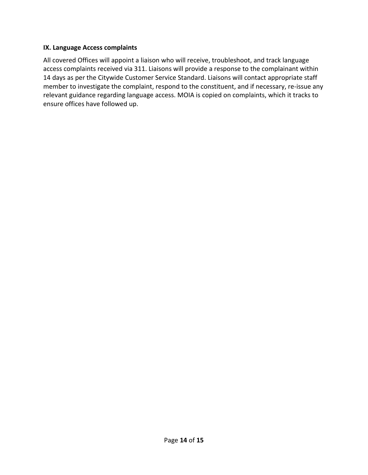#### **IX. Language Access complaints**

All covered Offices will appoint a liaison who will receive, troubleshoot, and track language access complaints received via 311. Liaisons will provide a response to the complainant within 14 days as per the Citywide Customer Service Standard. Liaisons will contact appropriate staff member to investigate the complaint, respond to the constituent, and if necessary, re-issue any relevant guidance regarding language access. MOIA is copied on complaints, which it tracks to ensure offices have followed up.